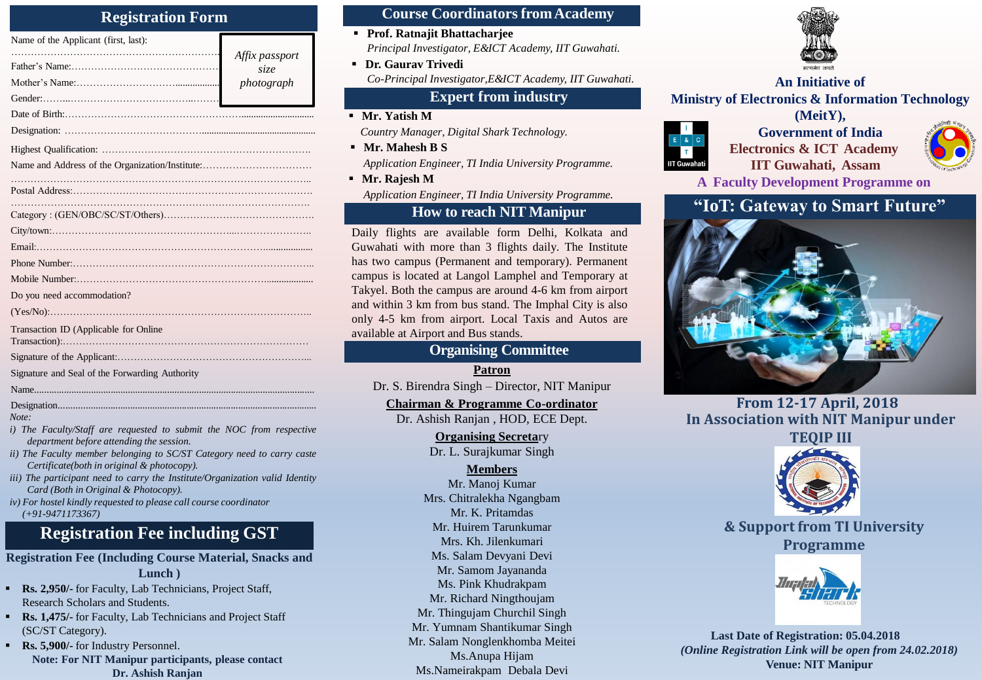## **Registration Form**

| Name of the Applicant (first, last):           |                |
|------------------------------------------------|----------------|
|                                                | Affix passport |
|                                                | size           |
|                                                | photograph     |
|                                                |                |
|                                                |                |
|                                                |                |
|                                                |                |
|                                                |                |
|                                                |                |
|                                                |                |
|                                                |                |
|                                                |                |
|                                                |                |
|                                                |                |
|                                                |                |
| Do you need accommodation?                     |                |
| (Yes/No):                                      |                |
| Transaction ID (Applicable for Online          |                |
|                                                |                |
|                                                |                |
| Signature and Seal of the Forwarding Authority |                |
|                                                |                |
| Designation.                                   |                |

*Note:*

- *i) The Faculty/Staff are requested to submit the NOC from respective department before attending the session.*
- *ii) The Faculty member belonging to SC/ST Category need to carry caste Certificate(both in original & photocopy).*
- *iii) The participant need to carry the Institute/Organization valid Identity Card (Both in Original & Photocopy).*
- *iv) For hostel kindly requested to please call course coordinator (+91-9471173367)*

## **Registration Fee including GST**

**Registration Fee (Including Course Material, Snacks and Lunch )**

- **Rs. 2,950/-** for Faculty, Lab Technicians, Project Staff, Research Scholars and Students.
- **Rs. 1,475/-** for Faculty, Lab Technicians and Project Staff (SC/ST Category).
- **Rs. 5,900/-** for Industry Personnel. **Note: For NIT Manipur participants, please contact Dr. Ashish Ranjan**

#### **Course Coordinators fromAcademy**

- **Prof. Ratnajit Bhattacharjee** *Principal Investigator, E&ICT Academy, IIT Guwahati.*
- *photograph* **An Initiative of** *Co-Principal Investigator,E&ICT Academy, IIT Guwahati.* **Dr. Gaurav Trivedi**

## **Expert from industry**

- **Mr. Yatish M**  *Country Manager, Digital Shark Technology.*
- **Mr. Mahesh B S** *Application Engineer, TI India University Programme.*
- **Mr. Rajesh M** *Application Engineer, TI India University Programme.*

## **How to reach NIT Manipur**

Daily flights are available form Delhi, Kolkata and Guwahati with more than 3 flights daily. The Institute has two campus (Permanent and temporary). Permanent campus is located at Langol Lamphel and Temporary at Takyel. Both the campus are around 4-6 km from airport and within 3 km from bus stand. The Imphal City is also only 4-5 km from airport. Local Taxis and Autos are available at Airport and Bus stands.

## **Organising Committee**

**Patron** Dr. S. Birendra Singh – Director, NIT Manipur

**Chairman & Programme Co-ordinator**

Dr. Ashish Ranjan , HOD, ECE Dept.

**Organising Secreta**ry Dr. L. Surajkumar Singh

#### **Members**

Mr. Manoj Kumar Mrs. Chitralekha Ngangbam Mr. K. Pritamdas Mr. Huirem Tarunkumar Mrs. Kh. Jilenkumari Ms. Salam Devyani Devi Mr. Samom Jayananda Ms. Pink Khudrakpam Mr. Richard Ningthoujam Mr. Thingujam Churchil Singh Mr. Yumnam Shantikumar Singh Mr. Salam Nonglenkhomba Meitei Ms.Anupa Hijam Ms.Nameirakpam Debala Devi



# **Ministry of Electronics & Information Technology (MeitY),**



**Government of India Electronics & ICT Academy IIT Guwahati, Assam**



**A Faculty Development Programme on**

## **"IoT: Gateway to Smart Future"**



**From 12-17 April, 2018 In Association with NIT Manipur under TEQIP III**



**& Support from TI University Programme**



**Last Date of Registration: 05.04.2018** *(Online Registration Link will be open from 24.02.2018)* **Venue: NIT Manipur**